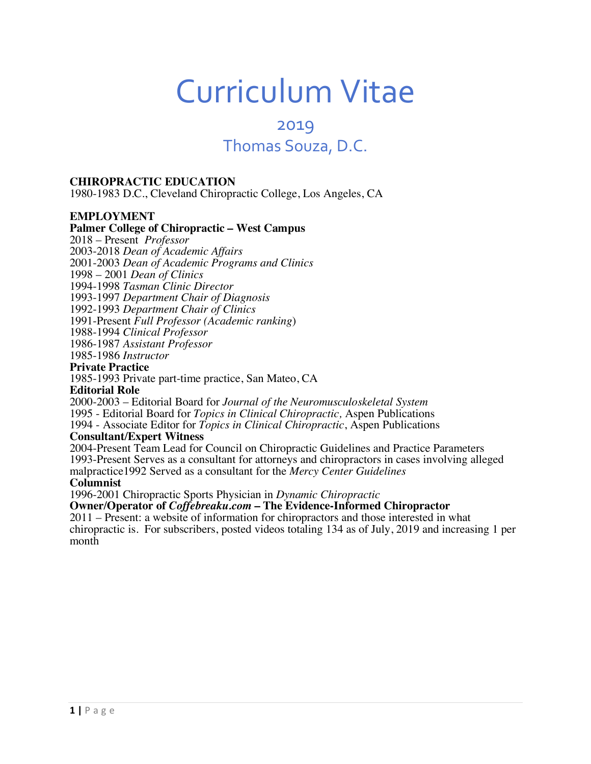# Curriculum Vitae

# 2019 Thomas Souza, D.C.

#### **CHIROPRACTIC EDUCATION**

1980-1983 D.C., Cleveland Chiropractic College, Los Angeles, CA

#### **EMPLOYMENT**

#### **Palmer College of Chiropractic – West Campus**

2018 – Present *Professor*

2003-2018 *Dean of Academic Affairs*

2001-2003 *Dean of Academic Programs and Clinics*

1998 – 2001 *Dean of Clinics*

1994-1998 *Tasman Clinic Director*

1993-1997 *Department Chair of Diagnosis*

1992-1993 *Department Chair of Clinics*

1991-Present *Full Professor (Academic ranking*)

1988-1994 *Clinical Professor*

1986-1987 *Assistant Professor*

1985-1986 *Instructor*

#### **Private Practice**

1985-1993 Private part-time practice, San Mateo, CA

#### **Editorial Role**

2000-2003 – Editorial Board for *Journal of the Neuromusculoskeletal System* 1995 - Editorial Board for *Topics in Clinical Chiropractic,* Aspen Publications 1994 - Associate Editor for *Topics in Clinical Chiropractic*, Aspen Publications

#### **Consultant/Expert Witness**

2004-Present Team Lead for Council on Chiropractic Guidelines and Practice Parameters 1993-Present Serves as a consultant for attorneys and chiropractors in cases involving alleged malpractice1992 Served as a consultant for the *Mercy Center Guidelines* **Columnist**

1996-2001 Chiropractic Sports Physician in *Dynamic Chiropractic*

**Owner/Operator of** *Coffebreaku.com* **– The Evidence-Informed Chiropractor**

2011 – Present: a website of information for chiropractors and those interested in what chiropractic is. For subscribers, posted videos totaling 134 as of July, 2019 and increasing 1 per month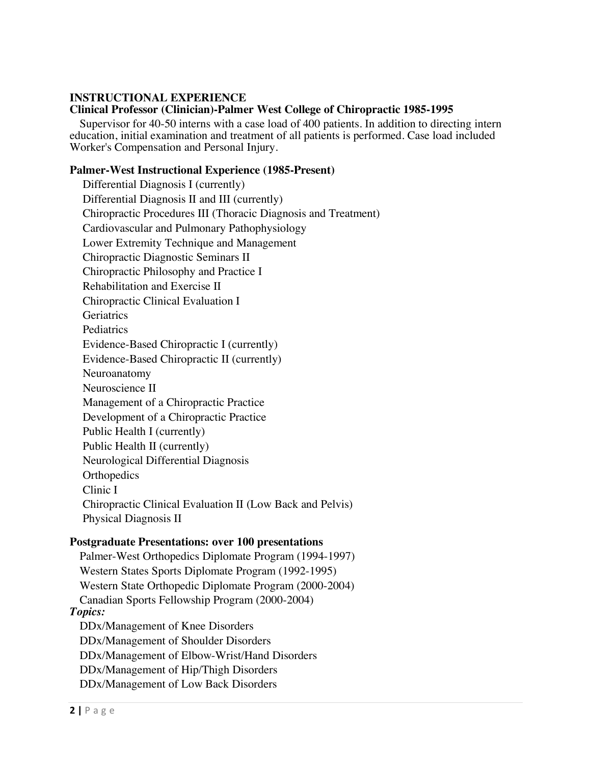# **INSTRUCTIONAL EXPERIENCE**

# **Clinical Professor (Clinician)-Palmer West College of Chiropractic 1985-1995**

 Supervisor for 40-50 interns with a case load of 400 patients. In addition to directing intern education, initial examination and treatment of all patients is performed. Case load included Worker's Compensation and Personal Injury.

# **Palmer-West Instructional Experience (1985-Present)**

 Differential Diagnosis I (currently) Differential Diagnosis II and III (currently) Chiropractic Procedures III (Thoracic Diagnosis and Treatment) Cardiovascular and Pulmonary Pathophysiology Lower Extremity Technique and Management Chiropractic Diagnostic Seminars II Chiropractic Philosophy and Practice I Rehabilitation and Exercise II Chiropractic Clinical Evaluation I **Geriatrics**  Pediatrics Evidence-Based Chiropractic I (currently) Evidence-Based Chiropractic II (currently) Neuroanatomy Neuroscience II Management of a Chiropractic Practice Development of a Chiropractic Practice Public Health I (currently) Public Health II (currently) Neurological Differential Diagnosis **Orthopedics**  Clinic I Chiropractic Clinical Evaluation II (Low Back and Pelvis) Physical Diagnosis II

## **Postgraduate Presentations: over 100 presentations**

 Palmer-West Orthopedics Diplomate Program (1994-1997) Western States Sports Diplomate Program (1992-1995) Western State Orthopedic Diplomate Program (2000-2004) Canadian Sports Fellowship Program (2000-2004) *Topics:* DDx/Management of Knee Disorders DDx/Management of Shoulder Disorders DDx/Management of Elbow-Wrist/Hand Disorders DDx/Management of Hip/Thigh Disorders DDx/Management of Low Back Disorders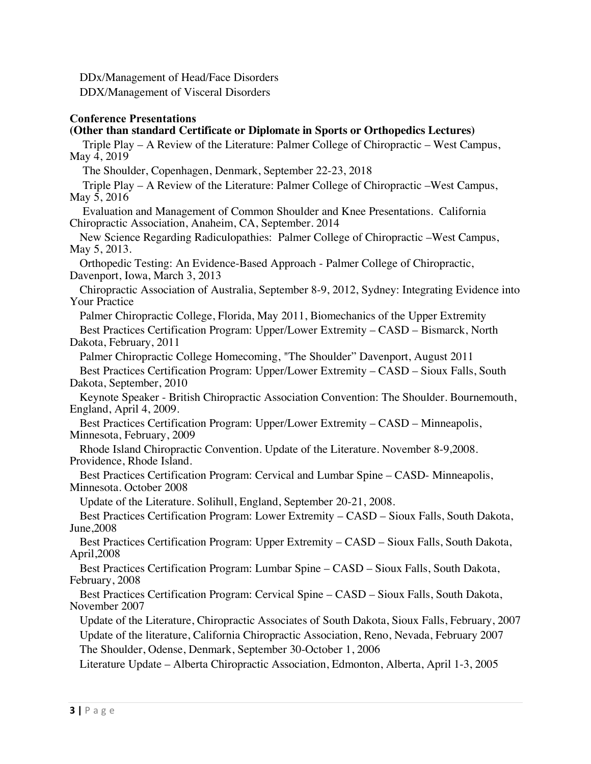DDx/Management of Head/Face Disorders DDX/Management of Visceral Disorders

# **Conference Presentations**

# **(Other than standard Certificate or Diplomate in Sports or Orthopedics Lectures)**

 Triple Play – A Review of the Literature: Palmer College of Chiropractic – West Campus, May 4, 2019

The Shoulder, Copenhagen, Denmark, September 22-23, 2018

 Triple Play – A Review of the Literature: Palmer College of Chiropractic –West Campus, May 5, 2016

 Evaluation and Management of Common Shoulder and Knee Presentations. California Chiropractic Association, Anaheim, CA, September. 2014

 New Science Regarding Radiculopathies: Palmer College of Chiropractic –West Campus, May 5, 2013.

 Orthopedic Testing: An Evidence-Based Approach - Palmer College of Chiropractic, Davenport, Iowa, March 3, 2013

 Chiropractic Association of Australia, September 8-9, 2012, Sydney: Integrating Evidence into Your Practice

 Palmer Chiropractic College, Florida, May 2011, Biomechanics of the Upper Extremity Best Practices Certification Program: Upper/Lower Extremity – CASD – Bismarck, North Dakota, February, 2011

 Palmer Chiropractic College Homecoming, "The Shoulder" Davenport, August 2011 Best Practices Certification Program: Upper/Lower Extremity – CASD – Sioux Falls, South Dakota, September, 2010

 Keynote Speaker - British Chiropractic Association Convention: The Shoulder. Bournemouth, England, April 4, 2009.

 Best Practices Certification Program: Upper/Lower Extremity – CASD – Minneapolis, Minnesota, February, 2009

 Rhode Island Chiropractic Convention. Update of the Literature. November 8-9,2008. Providence, Rhode Island.

 Best Practices Certification Program: Cervical and Lumbar Spine – CASD- Minneapolis, Minnesota. October 2008

Update of the Literature. Solihull, England, September 20-21, 2008.

 Best Practices Certification Program: Lower Extremity – CASD – Sioux Falls, South Dakota, June,2008

 Best Practices Certification Program: Upper Extremity – CASD – Sioux Falls, South Dakota, April,2008

 Best Practices Certification Program: Lumbar Spine – CASD – Sioux Falls, South Dakota, February, 2008

 Best Practices Certification Program: Cervical Spine – CASD – Sioux Falls, South Dakota, November 2007

 Update of the Literature, Chiropractic Associates of South Dakota, Sioux Falls, February, 2007 Update of the literature, California Chiropractic Association, Reno, Nevada, February 2007

The Shoulder, Odense, Denmark, September 30-October 1, 2006

Literature Update – Alberta Chiropractic Association, Edmonton, Alberta, April 1-3, 2005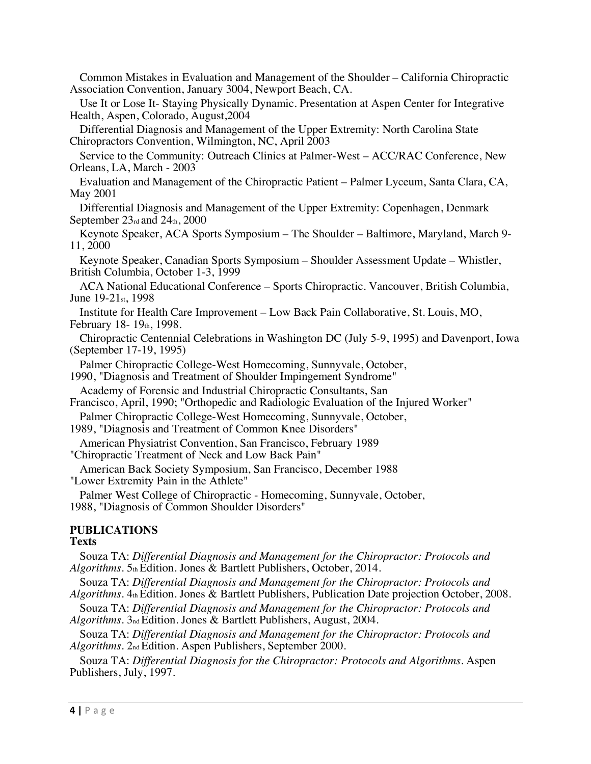Common Mistakes in Evaluation and Management of the Shoulder – California Chiropractic Association Convention, January 3004, Newport Beach, CA. Use It or Lose It- Staying Physically Dynamic. Presentation at Aspen Center for Integrative Health, Aspen, Colorado, August,2004 Differential Diagnosis and Management of the Upper Extremity: North Carolina State Chiropractors Convention, Wilmington, NC, April 2003 Service to the Community: Outreach Clinics at Palmer-West – ACC/RAC Conference, New Orleans, LA, March - 2003 Evaluation and Management of the Chiropractic Patient – Palmer Lyceum, Santa Clara, CA, May 2001 Differential Diagnosis and Management of the Upper Extremity: Copenhagen, Denmark September  $23<sub>rd</sub>$  and  $24<sub>th</sub>$ , 2000 Keynote Speaker, ACA Sports Symposium – The Shoulder – Baltimore, Maryland, March 9- 11, 2000 Keynote Speaker, Canadian Sports Symposium – Shoulder Assessment Update – Whistler, British Columbia, October 1-3, 1999

 ACA National Educational Conference – Sports Chiropractic. Vancouver, British Columbia, June 19-21st, 1998

 Institute for Health Care Improvement – Low Back Pain Collaborative, St. Louis, MO, February 18-19th, 1998.

 Chiropractic Centennial Celebrations in Washington DC (July 5-9, 1995) and Davenport, Iowa (September 17-19, 1995)

Palmer Chiropractic College-West Homecoming, Sunnyvale, October,

1990, "Diagnosis and Treatment of Shoulder Impingement Syndrome"

Academy of Forensic and Industrial Chiropractic Consultants, San

Francisco, April, 1990; "Orthopedic and Radiologic Evaluation of the Injured Worker"

Palmer Chiropractic College-West Homecoming, Sunnyvale, October,

1989, "Diagnosis and Treatment of Common Knee Disorders"

American Physiatrist Convention, San Francisco, February 1989

"Chiropractic Treatment of Neck and Low Back Pain"

 American Back Society Symposium, San Francisco, December 1988 "Lower Extremity Pain in the Athlete"

 Palmer West College of Chiropractic - Homecoming, Sunnyvale, October, 1988, "Diagnosis of Common Shoulder Disorders"

# **PUBLICATIONS**

## **Texts**

 Souza TA: *Differential Diagnosis and Management for the Chiropractor: Protocols and*  Algorithms. 5th Edition. Jones & Bartlett Publishers, October, 2014.

 Souza TA: *Differential Diagnosis and Management for the Chiropractor: Protocols and Algorithms*. 4th Edition. Jones & Bartlett Publishers, Publication Date projection October, 2008.

 Souza TA: *Differential Diagnosis and Management for the Chiropractor: Protocols and Algorithms*. 3nd Edition. Jones & Bartlett Publishers, August, 2004.

 Souza TA: *Differential Diagnosis and Management for the Chiropractor: Protocols and Algorithms*. 2nd Edition. Aspen Publishers, September 2000.

 Souza TA: *Differential Diagnosis for the Chiropractor: Protocols and Algorithms*. Aspen Publishers, July, 1997.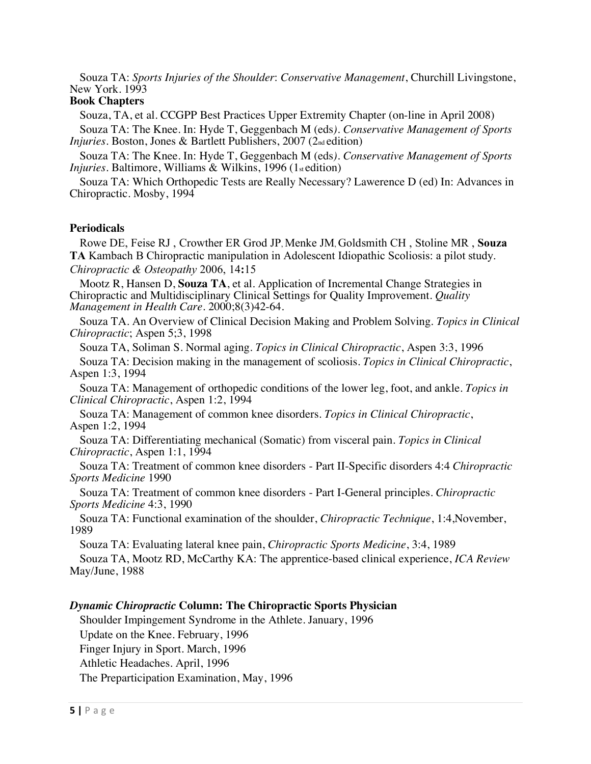Souza TA: *Sports Injuries of the Shoulder*: *Conservative Management*, Churchill Livingstone, New York. 1993

# **Book Chapters**

Souza, TA, et al. CCGPP Best Practices Upper Extremity Chapter (on-line in April 2008)

 Souza TA: The Knee. In: Hyde T, Geggenbach M (eds*). Conservative Management of Sports Injuries.* Boston, Jones & Bartlett Publishers, 2007 (2<sub>nd</sub> edition)

 Souza TA: The Knee. In: Hyde T, Geggenbach M (eds*). Conservative Management of Sports Injuries.* Baltimore, Williams & Wilkins, 1996 (1st edition)

 Souza TA: Which Orthopedic Tests are Really Necessary? Lawerence D (ed) In: Advances in Chiropractic. Mosby, 1994

#### **Periodicals**

 Rowe DE, Feise RJ , Crowther ER Grod JP, Menke JM, Goldsmith CH , Stoline MR , **Souza TA** Kambach B Chiropractic manipulation in Adolescent Idiopathic Scoliosis: a pilot study. *Chiropractic & Osteopathy* 2006, 14**:**15

 Mootz R, Hansen D, **Souza TA**, et al. Application of Incremental Change Strategies in Chiropractic and Multidisciplinary Clinical Settings for Quality Improvement. *Quality Management in Health Care.* 2000;8(3)42-64.

 Souza TA. An Overview of Clinical Decision Making and Problem Solving*. Topics in Clinical Chiropractic*; Aspen 5;3, 1998

 Souza TA, Soliman S. Normal aging. *Topics in Clinical Chiropractic*, Aspen 3:3, 1996 Souza TA: Decision making in the management of scoliosis. *Topics in Clinical Chiropractic*, Aspen 1:3, 1994

 Souza TA: Management of orthopedic conditions of the lower leg, foot, and ankle. *Topics in Clinical Chiropractic*, Aspen 1:2, 1994

 Souza TA: Management of common knee disorders. *Topics in Clinical Chiropractic*, Aspen 1:2, 1994

 Souza TA: Differentiating mechanical (Somatic) from visceral pain. *Topics in Clinical Chiropractic*, Aspen 1:1, 1994

 Souza TA: Treatment of common knee disorders - Part II-Specific disorders 4:4 *Chiropractic Sports Medicine* 1990

 Souza TA: Treatment of common knee disorders - Part I-General principles. *Chiropractic Sports Medicine* 4:3, 1990

 Souza TA: Functional examination of the shoulder, *Chiropractic Technique*, 1:4,November, 1989

Souza TA: Evaluating lateral knee pain, *Chiropractic Sports Medicine*, 3:4, 1989

 Souza TA, Mootz RD, McCarthy KA: The apprentice-based clinical experience, *ICA Review* May/June, 1988

#### *Dynamic Chiropractic* **Column: The Chiropractic Sports Physician**

 Shoulder Impingement Syndrome in the Athlete. January, 1996 Update on the Knee. February, 1996 Finger Injury in Sport. March, 1996 Athletic Headaches. April, 1996 The Preparticipation Examination, May, 1996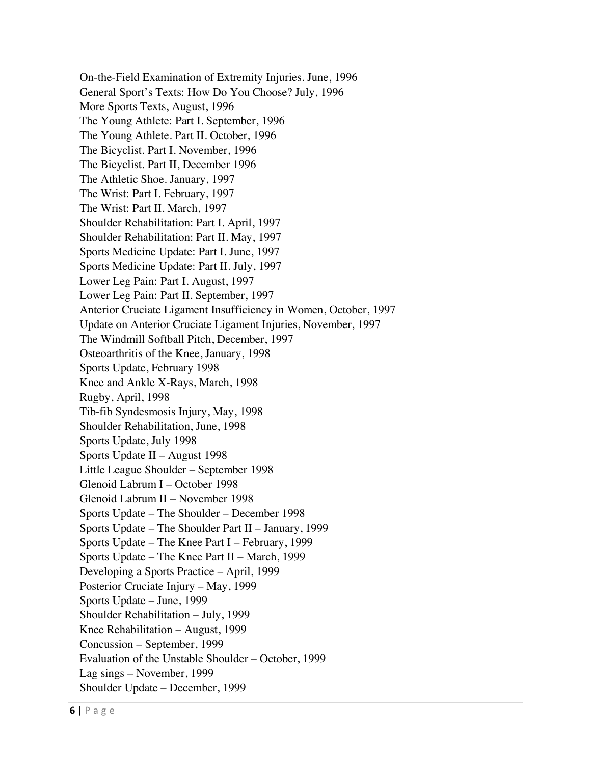On-the-Field Examination of Extremity Injuries. June, 1996 General Sport's Texts: How Do You Choose? July, 1996 More Sports Texts, August, 1996 The Young Athlete: Part I. September, 1996 The Young Athlete. Part II. October, 1996 The Bicyclist. Part I. November, 1996 The Bicyclist. Part II, December 1996 The Athletic Shoe. January, 1997 The Wrist: Part I. February, 1997 The Wrist: Part II. March, 1997 Shoulder Rehabilitation: Part I. April, 1997 Shoulder Rehabilitation: Part II. May, 1997 Sports Medicine Update: Part I. June, 1997 Sports Medicine Update: Part II. July, 1997 Lower Leg Pain: Part I. August, 1997 Lower Leg Pain: Part II. September, 1997 Anterior Cruciate Ligament Insufficiency in Women, October, 1997 Update on Anterior Cruciate Ligament Injuries, November, 1997 The Windmill Softball Pitch, December, 1997 Osteoarthritis of the Knee, January, 1998 Sports Update, February 1998 Knee and Ankle X-Rays, March, 1998 Rugby, April, 1998 Tib-fib Syndesmosis Injury, May, 1998 Shoulder Rehabilitation, June, 1998 Sports Update, July 1998 Sports Update II – August 1998 Little League Shoulder – September 1998 Glenoid Labrum I – October 1998 Glenoid Labrum II – November 1998 Sports Update – The Shoulder – December 1998 Sports Update – The Shoulder Part II – January, 1999 Sports Update – The Knee Part I – February, 1999 Sports Update – The Knee Part II – March, 1999 Developing a Sports Practice – April, 1999 Posterior Cruciate Injury – May, 1999 Sports Update – June, 1999 Shoulder Rehabilitation – July, 1999 Knee Rehabilitation – August, 1999 Concussion – September, 1999 Evaluation of the Unstable Shoulder – October, 1999 Lag sings – November, 1999 Shoulder Update – December, 1999